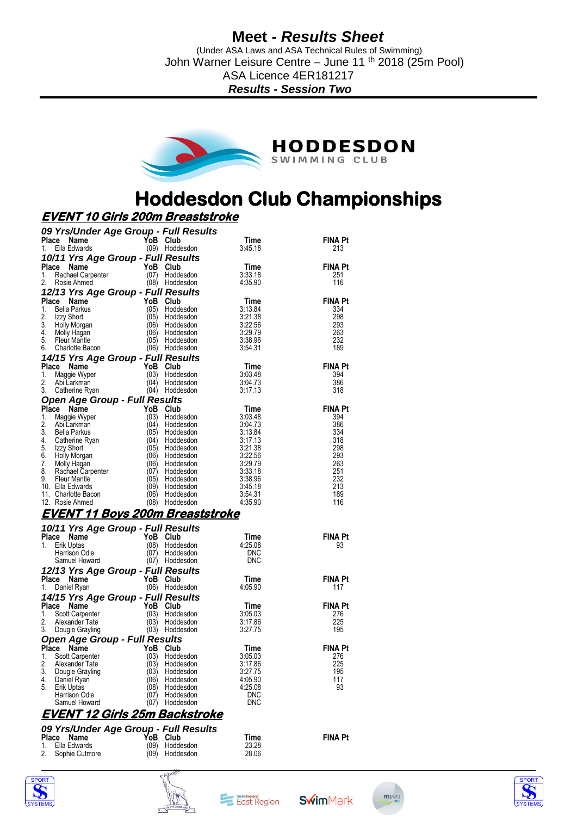(Under ASA Laws and ASA Technical Rules of Swimming) John Warner Leisure Centre – June 11<sup>th</sup> 2018 (25m Pool) ASA Licence 4ER181217

*Results - Session Two*



# **Hoddesdon Club Championships**

## **EVENT 10 Girls 200m Breaststroke**

| Time<br>FINA Pt<br>(09) Hoddesdon<br>Ella Edwards<br>3:45.18<br>1.<br>213<br>10/11 Yrs Age Group - Full Results<br>YoB.<br><b>FINA Pt</b><br>Place<br>Name<br>Club<br>Time<br>3:33.18<br>(07)<br>1.<br>Rachael Carpenter<br>Hoddesdon<br>251<br>2.<br>(08) Hoddesdon<br>4:35.90<br>116<br>Rosie Ahmed<br>12/13 Yrs Age Group - Full Results<br><b>FINA Pt</b><br>Place<br>YoB<br>Time<br>Name<br>Club<br>1.<br>3:13.84<br>334<br>Bella Parkus<br>(05)<br>Hoddesdon<br>(05)<br>298<br>2.<br>Izzy Short<br>Hoddesdon<br>3:21.38<br>3:22.56<br>3.<br>(06)<br>293<br>Holly Morgan<br>Hoddesdon<br>4.<br>(06)<br>Hoddesdon<br>3:29.79<br>263<br>Molly Hagan<br>5.<br>(05)<br>232<br><b>Fleur Mantle</b><br>Hoddesdon<br>3:38.96<br>189<br>6.<br>Charlotte Bacon<br>3:54.31<br>(06) Hoddesdon<br>14/15 Yrs Age Group - Full Results<br>YoB<br>Place<br><b>FINA Pt</b><br>Name<br>Club<br>Time<br>3:03.48<br>(03)<br>394<br>1.<br>Maggie Wyper<br>Hoddesdon<br>2.<br>(04)<br>3:04.73<br>386<br>Abi Larkman<br>Hoddesdon<br>3.<br>(04)<br>3:17.13<br>318<br>Hoddesdon<br>Catherine Ryan<br>Open Age Group - Full Results<br><b>FINA Pt</b><br>Place<br>YoB<br>Name<br>Club<br>Time<br>(03)<br>3:03.48<br>1.<br>394<br>Maggie Wyper<br>Hoddesdon<br>2.<br>(04)<br>386<br>Abi Larkman<br>Hoddesdon<br>3:04.73<br>3.<br>(05)<br>3:13.84<br>334<br>Bella Parkus<br>Hoddesdon<br>4.<br>(04)<br>318<br>Hoddesdon<br>3:17.13<br>Catherine Ryan<br>5.<br>(05)<br>298<br>Izzy Short<br>Hoddesdon<br>3:21.38<br>6.<br>Holly Morgan<br>(06)<br>3:22.56<br>293<br>Hoddesdon<br>7.<br>(06)<br>Molly Hagan<br>Hoddesdon<br>3:29.79<br>263<br>8.<br>(07)<br>3:33.18<br>251<br>Hoddesdon<br>Rachael Carpenter<br>9.<br>(05)<br>3:38.96<br>232<br><b>Fleur Mantle</b><br>Hoddesdon<br>(09)<br>213<br>10. Ella Edwards<br>Hoddesdon<br>3:45.18<br>(06)<br>189<br>11. Charlotte Bacon<br>Hoddesdon<br>3:54.31<br>12. Rosie Ahmed<br>(08)<br>4:35.90<br>116<br>Hoddesdon<br><u>EVENT 11 Boys 200m Breaststroke</u><br>10/11 Yrs Age Group - Full Results<br><b>FINA Pt</b><br>YoB Club<br>Place Name<br>Time<br>1.<br>(08)<br>Hoddesdon<br>4:25.08<br>Erik Uptas<br>93<br>(07)<br>Harrison Odie<br>Hoddesdon<br>DNC<br>(07) Hoddesdon<br>DNC<br>Samuel Howard<br>12/13 Yrs Age Group - Full Results<br>YoB Club<br><b>FINA Pt</b><br>Place Name<br>Time<br>(06) Hoddesdon<br>4:05.90<br>Daniel Ryan<br>117<br>1.<br>14/15 Yrs Age Group - Full Results<br>YoB<br><b>FINA Pt</b><br>Place<br>Name<br>Club<br>Time<br>1.<br>(03)<br>3:05.03<br>276<br>Scott Carpenter<br>Hoddesdon<br>2.<br>(03)<br>3:17.86<br>225<br>Hoddesdon<br>Alexander Tate<br>3.<br>(03)<br>Hoddesdon<br>3:27.75<br>195<br>Dougie Grayling<br><b>Open Age Group - Full Results</b><br><b>FINA Pt</b><br>Place<br>YoB Club<br>Name<br>Time<br>1.<br>(03)<br>3:05.03<br>276<br>Scott Carpenter<br>Hoddesdon<br>2.<br>Alexander Tate<br>(03)<br>Hoddesdon<br>3:17.86<br>225<br>3.<br>(03)<br>Dougie Grayling<br>Hoddesdon<br>3:27.75<br>195<br>4:05.90<br>117<br>4.<br>(06<br>Hoddesdon<br>Daniel Ryan | 09 Yrs/Under Age Group - Full Results |                  |         |    |
|----------------------------------------------------------------------------------------------------------------------------------------------------------------------------------------------------------------------------------------------------------------------------------------------------------------------------------------------------------------------------------------------------------------------------------------------------------------------------------------------------------------------------------------------------------------------------------------------------------------------------------------------------------------------------------------------------------------------------------------------------------------------------------------------------------------------------------------------------------------------------------------------------------------------------------------------------------------------------------------------------------------------------------------------------------------------------------------------------------------------------------------------------------------------------------------------------------------------------------------------------------------------------------------------------------------------------------------------------------------------------------------------------------------------------------------------------------------------------------------------------------------------------------------------------------------------------------------------------------------------------------------------------------------------------------------------------------------------------------------------------------------------------------------------------------------------------------------------------------------------------------------------------------------------------------------------------------------------------------------------------------------------------------------------------------------------------------------------------------------------------------------------------------------------------------------------------------------------------------------------------------------------------------------------------------------------------------------------------------------------------------------------------------------------------------------------------------------------------------------------------------------------------------------------------------------------------------------------------------------------------------------------------------------------------------------------------------------------------------------------------------------------------------------------------------------------------------------------------------------------------------------------------------------------------------------------------------------------------------------------------------------------------------------------|---------------------------------------|------------------|---------|----|
|                                                                                                                                                                                                                                                                                                                                                                                                                                                                                                                                                                                                                                                                                                                                                                                                                                                                                                                                                                                                                                                                                                                                                                                                                                                                                                                                                                                                                                                                                                                                                                                                                                                                                                                                                                                                                                                                                                                                                                                                                                                                                                                                                                                                                                                                                                                                                                                                                                                                                                                                                                                                                                                                                                                                                                                                                                                                                                                                                                                                                                              | Place<br>Name                         | YoB Club         |         |    |
|                                                                                                                                                                                                                                                                                                                                                                                                                                                                                                                                                                                                                                                                                                                                                                                                                                                                                                                                                                                                                                                                                                                                                                                                                                                                                                                                                                                                                                                                                                                                                                                                                                                                                                                                                                                                                                                                                                                                                                                                                                                                                                                                                                                                                                                                                                                                                                                                                                                                                                                                                                                                                                                                                                                                                                                                                                                                                                                                                                                                                                              |                                       |                  |         |    |
|                                                                                                                                                                                                                                                                                                                                                                                                                                                                                                                                                                                                                                                                                                                                                                                                                                                                                                                                                                                                                                                                                                                                                                                                                                                                                                                                                                                                                                                                                                                                                                                                                                                                                                                                                                                                                                                                                                                                                                                                                                                                                                                                                                                                                                                                                                                                                                                                                                                                                                                                                                                                                                                                                                                                                                                                                                                                                                                                                                                                                                              |                                       |                  |         |    |
|                                                                                                                                                                                                                                                                                                                                                                                                                                                                                                                                                                                                                                                                                                                                                                                                                                                                                                                                                                                                                                                                                                                                                                                                                                                                                                                                                                                                                                                                                                                                                                                                                                                                                                                                                                                                                                                                                                                                                                                                                                                                                                                                                                                                                                                                                                                                                                                                                                                                                                                                                                                                                                                                                                                                                                                                                                                                                                                                                                                                                                              |                                       |                  |         |    |
|                                                                                                                                                                                                                                                                                                                                                                                                                                                                                                                                                                                                                                                                                                                                                                                                                                                                                                                                                                                                                                                                                                                                                                                                                                                                                                                                                                                                                                                                                                                                                                                                                                                                                                                                                                                                                                                                                                                                                                                                                                                                                                                                                                                                                                                                                                                                                                                                                                                                                                                                                                                                                                                                                                                                                                                                                                                                                                                                                                                                                                              |                                       |                  |         |    |
|                                                                                                                                                                                                                                                                                                                                                                                                                                                                                                                                                                                                                                                                                                                                                                                                                                                                                                                                                                                                                                                                                                                                                                                                                                                                                                                                                                                                                                                                                                                                                                                                                                                                                                                                                                                                                                                                                                                                                                                                                                                                                                                                                                                                                                                                                                                                                                                                                                                                                                                                                                                                                                                                                                                                                                                                                                                                                                                                                                                                                                              |                                       |                  |         |    |
|                                                                                                                                                                                                                                                                                                                                                                                                                                                                                                                                                                                                                                                                                                                                                                                                                                                                                                                                                                                                                                                                                                                                                                                                                                                                                                                                                                                                                                                                                                                                                                                                                                                                                                                                                                                                                                                                                                                                                                                                                                                                                                                                                                                                                                                                                                                                                                                                                                                                                                                                                                                                                                                                                                                                                                                                                                                                                                                                                                                                                                              |                                       |                  |         |    |
|                                                                                                                                                                                                                                                                                                                                                                                                                                                                                                                                                                                                                                                                                                                                                                                                                                                                                                                                                                                                                                                                                                                                                                                                                                                                                                                                                                                                                                                                                                                                                                                                                                                                                                                                                                                                                                                                                                                                                                                                                                                                                                                                                                                                                                                                                                                                                                                                                                                                                                                                                                                                                                                                                                                                                                                                                                                                                                                                                                                                                                              |                                       |                  |         |    |
|                                                                                                                                                                                                                                                                                                                                                                                                                                                                                                                                                                                                                                                                                                                                                                                                                                                                                                                                                                                                                                                                                                                                                                                                                                                                                                                                                                                                                                                                                                                                                                                                                                                                                                                                                                                                                                                                                                                                                                                                                                                                                                                                                                                                                                                                                                                                                                                                                                                                                                                                                                                                                                                                                                                                                                                                                                                                                                                                                                                                                                              |                                       |                  |         |    |
|                                                                                                                                                                                                                                                                                                                                                                                                                                                                                                                                                                                                                                                                                                                                                                                                                                                                                                                                                                                                                                                                                                                                                                                                                                                                                                                                                                                                                                                                                                                                                                                                                                                                                                                                                                                                                                                                                                                                                                                                                                                                                                                                                                                                                                                                                                                                                                                                                                                                                                                                                                                                                                                                                                                                                                                                                                                                                                                                                                                                                                              |                                       |                  |         |    |
|                                                                                                                                                                                                                                                                                                                                                                                                                                                                                                                                                                                                                                                                                                                                                                                                                                                                                                                                                                                                                                                                                                                                                                                                                                                                                                                                                                                                                                                                                                                                                                                                                                                                                                                                                                                                                                                                                                                                                                                                                                                                                                                                                                                                                                                                                                                                                                                                                                                                                                                                                                                                                                                                                                                                                                                                                                                                                                                                                                                                                                              |                                       |                  |         |    |
|                                                                                                                                                                                                                                                                                                                                                                                                                                                                                                                                                                                                                                                                                                                                                                                                                                                                                                                                                                                                                                                                                                                                                                                                                                                                                                                                                                                                                                                                                                                                                                                                                                                                                                                                                                                                                                                                                                                                                                                                                                                                                                                                                                                                                                                                                                                                                                                                                                                                                                                                                                                                                                                                                                                                                                                                                                                                                                                                                                                                                                              |                                       |                  |         |    |
|                                                                                                                                                                                                                                                                                                                                                                                                                                                                                                                                                                                                                                                                                                                                                                                                                                                                                                                                                                                                                                                                                                                                                                                                                                                                                                                                                                                                                                                                                                                                                                                                                                                                                                                                                                                                                                                                                                                                                                                                                                                                                                                                                                                                                                                                                                                                                                                                                                                                                                                                                                                                                                                                                                                                                                                                                                                                                                                                                                                                                                              |                                       |                  |         |    |
|                                                                                                                                                                                                                                                                                                                                                                                                                                                                                                                                                                                                                                                                                                                                                                                                                                                                                                                                                                                                                                                                                                                                                                                                                                                                                                                                                                                                                                                                                                                                                                                                                                                                                                                                                                                                                                                                                                                                                                                                                                                                                                                                                                                                                                                                                                                                                                                                                                                                                                                                                                                                                                                                                                                                                                                                                                                                                                                                                                                                                                              |                                       |                  |         |    |
|                                                                                                                                                                                                                                                                                                                                                                                                                                                                                                                                                                                                                                                                                                                                                                                                                                                                                                                                                                                                                                                                                                                                                                                                                                                                                                                                                                                                                                                                                                                                                                                                                                                                                                                                                                                                                                                                                                                                                                                                                                                                                                                                                                                                                                                                                                                                                                                                                                                                                                                                                                                                                                                                                                                                                                                                                                                                                                                                                                                                                                              |                                       |                  |         |    |
|                                                                                                                                                                                                                                                                                                                                                                                                                                                                                                                                                                                                                                                                                                                                                                                                                                                                                                                                                                                                                                                                                                                                                                                                                                                                                                                                                                                                                                                                                                                                                                                                                                                                                                                                                                                                                                                                                                                                                                                                                                                                                                                                                                                                                                                                                                                                                                                                                                                                                                                                                                                                                                                                                                                                                                                                                                                                                                                                                                                                                                              |                                       |                  |         |    |
|                                                                                                                                                                                                                                                                                                                                                                                                                                                                                                                                                                                                                                                                                                                                                                                                                                                                                                                                                                                                                                                                                                                                                                                                                                                                                                                                                                                                                                                                                                                                                                                                                                                                                                                                                                                                                                                                                                                                                                                                                                                                                                                                                                                                                                                                                                                                                                                                                                                                                                                                                                                                                                                                                                                                                                                                                                                                                                                                                                                                                                              |                                       |                  |         |    |
|                                                                                                                                                                                                                                                                                                                                                                                                                                                                                                                                                                                                                                                                                                                                                                                                                                                                                                                                                                                                                                                                                                                                                                                                                                                                                                                                                                                                                                                                                                                                                                                                                                                                                                                                                                                                                                                                                                                                                                                                                                                                                                                                                                                                                                                                                                                                                                                                                                                                                                                                                                                                                                                                                                                                                                                                                                                                                                                                                                                                                                              |                                       |                  |         |    |
|                                                                                                                                                                                                                                                                                                                                                                                                                                                                                                                                                                                                                                                                                                                                                                                                                                                                                                                                                                                                                                                                                                                                                                                                                                                                                                                                                                                                                                                                                                                                                                                                                                                                                                                                                                                                                                                                                                                                                                                                                                                                                                                                                                                                                                                                                                                                                                                                                                                                                                                                                                                                                                                                                                                                                                                                                                                                                                                                                                                                                                              |                                       |                  |         |    |
|                                                                                                                                                                                                                                                                                                                                                                                                                                                                                                                                                                                                                                                                                                                                                                                                                                                                                                                                                                                                                                                                                                                                                                                                                                                                                                                                                                                                                                                                                                                                                                                                                                                                                                                                                                                                                                                                                                                                                                                                                                                                                                                                                                                                                                                                                                                                                                                                                                                                                                                                                                                                                                                                                                                                                                                                                                                                                                                                                                                                                                              |                                       |                  |         |    |
|                                                                                                                                                                                                                                                                                                                                                                                                                                                                                                                                                                                                                                                                                                                                                                                                                                                                                                                                                                                                                                                                                                                                                                                                                                                                                                                                                                                                                                                                                                                                                                                                                                                                                                                                                                                                                                                                                                                                                                                                                                                                                                                                                                                                                                                                                                                                                                                                                                                                                                                                                                                                                                                                                                                                                                                                                                                                                                                                                                                                                                              |                                       |                  |         |    |
|                                                                                                                                                                                                                                                                                                                                                                                                                                                                                                                                                                                                                                                                                                                                                                                                                                                                                                                                                                                                                                                                                                                                                                                                                                                                                                                                                                                                                                                                                                                                                                                                                                                                                                                                                                                                                                                                                                                                                                                                                                                                                                                                                                                                                                                                                                                                                                                                                                                                                                                                                                                                                                                                                                                                                                                                                                                                                                                                                                                                                                              |                                       |                  |         |    |
|                                                                                                                                                                                                                                                                                                                                                                                                                                                                                                                                                                                                                                                                                                                                                                                                                                                                                                                                                                                                                                                                                                                                                                                                                                                                                                                                                                                                                                                                                                                                                                                                                                                                                                                                                                                                                                                                                                                                                                                                                                                                                                                                                                                                                                                                                                                                                                                                                                                                                                                                                                                                                                                                                                                                                                                                                                                                                                                                                                                                                                              |                                       |                  |         |    |
|                                                                                                                                                                                                                                                                                                                                                                                                                                                                                                                                                                                                                                                                                                                                                                                                                                                                                                                                                                                                                                                                                                                                                                                                                                                                                                                                                                                                                                                                                                                                                                                                                                                                                                                                                                                                                                                                                                                                                                                                                                                                                                                                                                                                                                                                                                                                                                                                                                                                                                                                                                                                                                                                                                                                                                                                                                                                                                                                                                                                                                              |                                       |                  |         |    |
|                                                                                                                                                                                                                                                                                                                                                                                                                                                                                                                                                                                                                                                                                                                                                                                                                                                                                                                                                                                                                                                                                                                                                                                                                                                                                                                                                                                                                                                                                                                                                                                                                                                                                                                                                                                                                                                                                                                                                                                                                                                                                                                                                                                                                                                                                                                                                                                                                                                                                                                                                                                                                                                                                                                                                                                                                                                                                                                                                                                                                                              |                                       |                  |         |    |
|                                                                                                                                                                                                                                                                                                                                                                                                                                                                                                                                                                                                                                                                                                                                                                                                                                                                                                                                                                                                                                                                                                                                                                                                                                                                                                                                                                                                                                                                                                                                                                                                                                                                                                                                                                                                                                                                                                                                                                                                                                                                                                                                                                                                                                                                                                                                                                                                                                                                                                                                                                                                                                                                                                                                                                                                                                                                                                                                                                                                                                              |                                       |                  |         |    |
|                                                                                                                                                                                                                                                                                                                                                                                                                                                                                                                                                                                                                                                                                                                                                                                                                                                                                                                                                                                                                                                                                                                                                                                                                                                                                                                                                                                                                                                                                                                                                                                                                                                                                                                                                                                                                                                                                                                                                                                                                                                                                                                                                                                                                                                                                                                                                                                                                                                                                                                                                                                                                                                                                                                                                                                                                                                                                                                                                                                                                                              |                                       |                  |         |    |
|                                                                                                                                                                                                                                                                                                                                                                                                                                                                                                                                                                                                                                                                                                                                                                                                                                                                                                                                                                                                                                                                                                                                                                                                                                                                                                                                                                                                                                                                                                                                                                                                                                                                                                                                                                                                                                                                                                                                                                                                                                                                                                                                                                                                                                                                                                                                                                                                                                                                                                                                                                                                                                                                                                                                                                                                                                                                                                                                                                                                                                              |                                       |                  |         |    |
|                                                                                                                                                                                                                                                                                                                                                                                                                                                                                                                                                                                                                                                                                                                                                                                                                                                                                                                                                                                                                                                                                                                                                                                                                                                                                                                                                                                                                                                                                                                                                                                                                                                                                                                                                                                                                                                                                                                                                                                                                                                                                                                                                                                                                                                                                                                                                                                                                                                                                                                                                                                                                                                                                                                                                                                                                                                                                                                                                                                                                                              |                                       |                  |         |    |
|                                                                                                                                                                                                                                                                                                                                                                                                                                                                                                                                                                                                                                                                                                                                                                                                                                                                                                                                                                                                                                                                                                                                                                                                                                                                                                                                                                                                                                                                                                                                                                                                                                                                                                                                                                                                                                                                                                                                                                                                                                                                                                                                                                                                                                                                                                                                                                                                                                                                                                                                                                                                                                                                                                                                                                                                                                                                                                                                                                                                                                              |                                       |                  |         |    |
|                                                                                                                                                                                                                                                                                                                                                                                                                                                                                                                                                                                                                                                                                                                                                                                                                                                                                                                                                                                                                                                                                                                                                                                                                                                                                                                                                                                                                                                                                                                                                                                                                                                                                                                                                                                                                                                                                                                                                                                                                                                                                                                                                                                                                                                                                                                                                                                                                                                                                                                                                                                                                                                                                                                                                                                                                                                                                                                                                                                                                                              |                                       |                  |         |    |
|                                                                                                                                                                                                                                                                                                                                                                                                                                                                                                                                                                                                                                                                                                                                                                                                                                                                                                                                                                                                                                                                                                                                                                                                                                                                                                                                                                                                                                                                                                                                                                                                                                                                                                                                                                                                                                                                                                                                                                                                                                                                                                                                                                                                                                                                                                                                                                                                                                                                                                                                                                                                                                                                                                                                                                                                                                                                                                                                                                                                                                              |                                       |                  |         |    |
|                                                                                                                                                                                                                                                                                                                                                                                                                                                                                                                                                                                                                                                                                                                                                                                                                                                                                                                                                                                                                                                                                                                                                                                                                                                                                                                                                                                                                                                                                                                                                                                                                                                                                                                                                                                                                                                                                                                                                                                                                                                                                                                                                                                                                                                                                                                                                                                                                                                                                                                                                                                                                                                                                                                                                                                                                                                                                                                                                                                                                                              |                                       |                  |         |    |
|                                                                                                                                                                                                                                                                                                                                                                                                                                                                                                                                                                                                                                                                                                                                                                                                                                                                                                                                                                                                                                                                                                                                                                                                                                                                                                                                                                                                                                                                                                                                                                                                                                                                                                                                                                                                                                                                                                                                                                                                                                                                                                                                                                                                                                                                                                                                                                                                                                                                                                                                                                                                                                                                                                                                                                                                                                                                                                                                                                                                                                              |                                       |                  |         |    |
|                                                                                                                                                                                                                                                                                                                                                                                                                                                                                                                                                                                                                                                                                                                                                                                                                                                                                                                                                                                                                                                                                                                                                                                                                                                                                                                                                                                                                                                                                                                                                                                                                                                                                                                                                                                                                                                                                                                                                                                                                                                                                                                                                                                                                                                                                                                                                                                                                                                                                                                                                                                                                                                                                                                                                                                                                                                                                                                                                                                                                                              |                                       |                  |         |    |
|                                                                                                                                                                                                                                                                                                                                                                                                                                                                                                                                                                                                                                                                                                                                                                                                                                                                                                                                                                                                                                                                                                                                                                                                                                                                                                                                                                                                                                                                                                                                                                                                                                                                                                                                                                                                                                                                                                                                                                                                                                                                                                                                                                                                                                                                                                                                                                                                                                                                                                                                                                                                                                                                                                                                                                                                                                                                                                                                                                                                                                              |                                       |                  |         |    |
|                                                                                                                                                                                                                                                                                                                                                                                                                                                                                                                                                                                                                                                                                                                                                                                                                                                                                                                                                                                                                                                                                                                                                                                                                                                                                                                                                                                                                                                                                                                                                                                                                                                                                                                                                                                                                                                                                                                                                                                                                                                                                                                                                                                                                                                                                                                                                                                                                                                                                                                                                                                                                                                                                                                                                                                                                                                                                                                                                                                                                                              |                                       |                  |         |    |
|                                                                                                                                                                                                                                                                                                                                                                                                                                                                                                                                                                                                                                                                                                                                                                                                                                                                                                                                                                                                                                                                                                                                                                                                                                                                                                                                                                                                                                                                                                                                                                                                                                                                                                                                                                                                                                                                                                                                                                                                                                                                                                                                                                                                                                                                                                                                                                                                                                                                                                                                                                                                                                                                                                                                                                                                                                                                                                                                                                                                                                              |                                       |                  |         |    |
|                                                                                                                                                                                                                                                                                                                                                                                                                                                                                                                                                                                                                                                                                                                                                                                                                                                                                                                                                                                                                                                                                                                                                                                                                                                                                                                                                                                                                                                                                                                                                                                                                                                                                                                                                                                                                                                                                                                                                                                                                                                                                                                                                                                                                                                                                                                                                                                                                                                                                                                                                                                                                                                                                                                                                                                                                                                                                                                                                                                                                                              |                                       |                  |         |    |
|                                                                                                                                                                                                                                                                                                                                                                                                                                                                                                                                                                                                                                                                                                                                                                                                                                                                                                                                                                                                                                                                                                                                                                                                                                                                                                                                                                                                                                                                                                                                                                                                                                                                                                                                                                                                                                                                                                                                                                                                                                                                                                                                                                                                                                                                                                                                                                                                                                                                                                                                                                                                                                                                                                                                                                                                                                                                                                                                                                                                                                              |                                       |                  |         |    |
|                                                                                                                                                                                                                                                                                                                                                                                                                                                                                                                                                                                                                                                                                                                                                                                                                                                                                                                                                                                                                                                                                                                                                                                                                                                                                                                                                                                                                                                                                                                                                                                                                                                                                                                                                                                                                                                                                                                                                                                                                                                                                                                                                                                                                                                                                                                                                                                                                                                                                                                                                                                                                                                                                                                                                                                                                                                                                                                                                                                                                                              |                                       |                  |         |    |
|                                                                                                                                                                                                                                                                                                                                                                                                                                                                                                                                                                                                                                                                                                                                                                                                                                                                                                                                                                                                                                                                                                                                                                                                                                                                                                                                                                                                                                                                                                                                                                                                                                                                                                                                                                                                                                                                                                                                                                                                                                                                                                                                                                                                                                                                                                                                                                                                                                                                                                                                                                                                                                                                                                                                                                                                                                                                                                                                                                                                                                              |                                       |                  |         |    |
|                                                                                                                                                                                                                                                                                                                                                                                                                                                                                                                                                                                                                                                                                                                                                                                                                                                                                                                                                                                                                                                                                                                                                                                                                                                                                                                                                                                                                                                                                                                                                                                                                                                                                                                                                                                                                                                                                                                                                                                                                                                                                                                                                                                                                                                                                                                                                                                                                                                                                                                                                                                                                                                                                                                                                                                                                                                                                                                                                                                                                                              |                                       |                  |         |    |
|                                                                                                                                                                                                                                                                                                                                                                                                                                                                                                                                                                                                                                                                                                                                                                                                                                                                                                                                                                                                                                                                                                                                                                                                                                                                                                                                                                                                                                                                                                                                                                                                                                                                                                                                                                                                                                                                                                                                                                                                                                                                                                                                                                                                                                                                                                                                                                                                                                                                                                                                                                                                                                                                                                                                                                                                                                                                                                                                                                                                                                              |                                       |                  |         |    |
|                                                                                                                                                                                                                                                                                                                                                                                                                                                                                                                                                                                                                                                                                                                                                                                                                                                                                                                                                                                                                                                                                                                                                                                                                                                                                                                                                                                                                                                                                                                                                                                                                                                                                                                                                                                                                                                                                                                                                                                                                                                                                                                                                                                                                                                                                                                                                                                                                                                                                                                                                                                                                                                                                                                                                                                                                                                                                                                                                                                                                                              |                                       |                  |         |    |
|                                                                                                                                                                                                                                                                                                                                                                                                                                                                                                                                                                                                                                                                                                                                                                                                                                                                                                                                                                                                                                                                                                                                                                                                                                                                                                                                                                                                                                                                                                                                                                                                                                                                                                                                                                                                                                                                                                                                                                                                                                                                                                                                                                                                                                                                                                                                                                                                                                                                                                                                                                                                                                                                                                                                                                                                                                                                                                                                                                                                                                              |                                       |                  |         |    |
|                                                                                                                                                                                                                                                                                                                                                                                                                                                                                                                                                                                                                                                                                                                                                                                                                                                                                                                                                                                                                                                                                                                                                                                                                                                                                                                                                                                                                                                                                                                                                                                                                                                                                                                                                                                                                                                                                                                                                                                                                                                                                                                                                                                                                                                                                                                                                                                                                                                                                                                                                                                                                                                                                                                                                                                                                                                                                                                                                                                                                                              |                                       |                  |         |    |
|                                                                                                                                                                                                                                                                                                                                                                                                                                                                                                                                                                                                                                                                                                                                                                                                                                                                                                                                                                                                                                                                                                                                                                                                                                                                                                                                                                                                                                                                                                                                                                                                                                                                                                                                                                                                                                                                                                                                                                                                                                                                                                                                                                                                                                                                                                                                                                                                                                                                                                                                                                                                                                                                                                                                                                                                                                                                                                                                                                                                                                              |                                       |                  |         |    |
|                                                                                                                                                                                                                                                                                                                                                                                                                                                                                                                                                                                                                                                                                                                                                                                                                                                                                                                                                                                                                                                                                                                                                                                                                                                                                                                                                                                                                                                                                                                                                                                                                                                                                                                                                                                                                                                                                                                                                                                                                                                                                                                                                                                                                                                                                                                                                                                                                                                                                                                                                                                                                                                                                                                                                                                                                                                                                                                                                                                                                                              | 5.<br>Erik Uptas                      | 08)<br>Hoddesdon | 4:25.08 | 93 |
| (07<br>Harrison Odie<br>Hoddesdon<br>DNC                                                                                                                                                                                                                                                                                                                                                                                                                                                                                                                                                                                                                                                                                                                                                                                                                                                                                                                                                                                                                                                                                                                                                                                                                                                                                                                                                                                                                                                                                                                                                                                                                                                                                                                                                                                                                                                                                                                                                                                                                                                                                                                                                                                                                                                                                                                                                                                                                                                                                                                                                                                                                                                                                                                                                                                                                                                                                                                                                                                                     |                                       |                  |         |    |
| Samuel Howard<br><b>DNC</b><br>(07)<br>Hoddesdon                                                                                                                                                                                                                                                                                                                                                                                                                                                                                                                                                                                                                                                                                                                                                                                                                                                                                                                                                                                                                                                                                                                                                                                                                                                                                                                                                                                                                                                                                                                                                                                                                                                                                                                                                                                                                                                                                                                                                                                                                                                                                                                                                                                                                                                                                                                                                                                                                                                                                                                                                                                                                                                                                                                                                                                                                                                                                                                                                                                             |                                       |                  |         |    |
| EVENT 12 Girls 25m Backstroke                                                                                                                                                                                                                                                                                                                                                                                                                                                                                                                                                                                                                                                                                                                                                                                                                                                                                                                                                                                                                                                                                                                                                                                                                                                                                                                                                                                                                                                                                                                                                                                                                                                                                                                                                                                                                                                                                                                                                                                                                                                                                                                                                                                                                                                                                                                                                                                                                                                                                                                                                                                                                                                                                                                                                                                                                                                                                                                                                                                                                |                                       |                  |         |    |
|                                                                                                                                                                                                                                                                                                                                                                                                                                                                                                                                                                                                                                                                                                                                                                                                                                                                                                                                                                                                                                                                                                                                                                                                                                                                                                                                                                                                                                                                                                                                                                                                                                                                                                                                                                                                                                                                                                                                                                                                                                                                                                                                                                                                                                                                                                                                                                                                                                                                                                                                                                                                                                                                                                                                                                                                                                                                                                                                                                                                                                              |                                       |                  |         |    |
| 09 Yrs/Under Age Group - Full Results                                                                                                                                                                                                                                                                                                                                                                                                                                                                                                                                                                                                                                                                                                                                                                                                                                                                                                                                                                                                                                                                                                                                                                                                                                                                                                                                                                                                                                                                                                                                                                                                                                                                                                                                                                                                                                                                                                                                                                                                                                                                                                                                                                                                                                                                                                                                                                                                                                                                                                                                                                                                                                                                                                                                                                                                                                                                                                                                                                                                        |                                       |                  |         |    |
| Place<br><b>FINA Pt</b><br>Name<br>YoB<br>Club<br>Time                                                                                                                                                                                                                                                                                                                                                                                                                                                                                                                                                                                                                                                                                                                                                                                                                                                                                                                                                                                                                                                                                                                                                                                                                                                                                                                                                                                                                                                                                                                                                                                                                                                                                                                                                                                                                                                                                                                                                                                                                                                                                                                                                                                                                                                                                                                                                                                                                                                                                                                                                                                                                                                                                                                                                                                                                                                                                                                                                                                       |                                       |                  |         |    |
| Ella Edwards<br>(09)<br>23.28<br>1.<br>Hoddesdon<br>(09)<br>28.06<br>2.<br>Sophie Cutmore<br>Hoddesdon                                                                                                                                                                                                                                                                                                                                                                                                                                                                                                                                                                                                                                                                                                                                                                                                                                                                                                                                                                                                                                                                                                                                                                                                                                                                                                                                                                                                                                                                                                                                                                                                                                                                                                                                                                                                                                                                                                                                                                                                                                                                                                                                                                                                                                                                                                                                                                                                                                                                                                                                                                                                                                                                                                                                                                                                                                                                                                                                       |                                       |                  |         |    |









**Swim**Mark

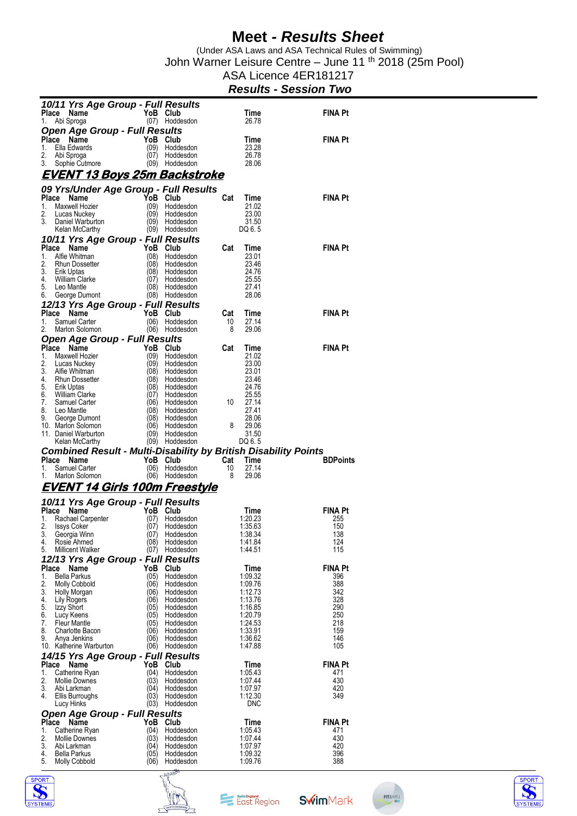(Under ASA Laws and ASA Technical Rules of Swimming) John Warner Leisure Centre – June 11 <sup>th</sup> 2018 (25m Pool)

ASA Licence 4ER181217

#### *Results - Session Two*

|             | 10/11 Yrs Age Group - Full Results                                     |              |                             |           |                    |                 |
|-------------|------------------------------------------------------------------------|--------------|-----------------------------|-----------|--------------------|-----------------|
| Place<br>1. | Name<br>Abi Sproga                                                     | YoB Club     | (07) Hoddesdon              |           | Time<br>26.78      | <b>FINA Pt</b>  |
|             | Open Age Group - Full Results                                          |              |                             |           |                    |                 |
|             | Place Name                                                             |              | YoB Club                    |           | Time               | FINA Pt         |
| 1.          | Ella Edwards                                                           | (09)         | Hoddesdon                   |           | 23.28              |                 |
| 2.          | Abi Sproga                                                             | (07)         | Hoddesdon                   |           | 26.78              |                 |
| 3.          | Sophie Cutmore                                                         | (09)         | Hoddesdon                   |           | 28.06              |                 |
|             | <u>EVENT 13 Boys 25m Backstroke</u>                                    |              |                             |           |                    |                 |
|             | 09 Yrs/Under Age Group - Full Results                                  |              |                             |           |                    |                 |
|             | Place<br>Name                                                          | YoB          | Club                        | Cat       | Time               | <b>FINA Pt</b>  |
| 1.          | Maxwell Hozier                                                         | (09)         | Hoddesdon                   |           | 21.02              |                 |
| 2.<br>3.    | Lucas Nuckey<br>Daniel Warburton                                       | (09)         | Hoddesdon<br>(09) Hoddesdon |           | 23.00<br>31.50     |                 |
|             | Kelan McCarthy                                                         |              | (09) Hoddesdon              |           | DQ 6.5             |                 |
|             | 10/11 Yrs Age Group - Full Results                                     |              |                             |           |                    |                 |
|             | Place Name                                                             | YoB Club     |                             | Cat       | Time               | <b>FINA Pt</b>  |
| 1.          | Alfie Whitman                                                          | (08)         | Hoddesdon                   |           | 23.01              |                 |
| 2.<br>3.    | <b>Rhun Dossetter</b><br>Erik Uptas                                    | (08)<br>(08) | Hoddesdon<br>Hoddesdon      |           | 23.46<br>24.76     |                 |
| 4.          | William Clarke                                                         | (07)         | Hoddesdon                   |           | 25.55              |                 |
| 5.          | Leo Mantle                                                             | (08)         | Hoddesdon                   |           | 27.41              |                 |
| 6.          | George Dumont                                                          |              | (08) Hoddesdon              |           | 28.06              |                 |
|             | 12/13 Yrs Age Group - Full Results                                     | YoB          | Club                        |           |                    |                 |
| 1.          | Place<br>Name<br>Samuel Carter                                         | (06)         | Hoddesdon                   | Cat<br>10 | Time<br>27.14      | <b>FINA Pt</b>  |
| 2.          | Marlon Solomon                                                         | (06)         | Hoddesdon                   | 8         | 29.06              |                 |
|             | <b>Open Age Group - Full Results</b>                                   |              |                             |           |                    |                 |
|             | Place Name                                                             |              | YoB Club                    | Cat       | Time               | FINA Pt         |
| 1.          | Maxwell Hozier                                                         | (09)         | Hoddesdon                   |           | 21.02              |                 |
| 2.<br>3.    | Lucas Nuckey<br>Alfie Whitman                                          | (09)<br>(08) | Hoddesdon<br>Hoddesdon      |           | 23.00<br>23.01     |                 |
| 4.          | Rhun Dossetter                                                         | (08)         | Hoddesdon                   |           | 23.46              |                 |
| 5.          | Erik Uptas                                                             | (08)         | Hoddesdon                   |           | 24.76              |                 |
| 6.<br>7.    | William Clarke<br>Samuel Carter                                        | (06)         | (07) Hoddesdon<br>Hoddesdon | 10        | 25.55<br>27.14     |                 |
| 8.          | Leo Mantle                                                             | (08)         | Hoddesdon                   |           | 27.41              |                 |
| 9.          | George Dumont                                                          |              | (08) Hoddesdon              |           | 28.06              |                 |
|             | 10. Marlon Solomon<br>11. Daniel Warburton                             | (06)         | Hoddesdon                   | 8         | 29.06              |                 |
|             |                                                                        | (09)         | Hoddesdon                   |           | 31.50              |                 |
|             |                                                                        |              |                             |           |                    |                 |
|             | Kelan McCarthy                                                         |              | (09) Hoddesdon              |           | DQ 6.5             |                 |
|             | <b>Combined Result - Multi-Disability by British Disability Points</b> |              |                             |           |                    |                 |
| 1.          | Place Name<br>Samuel Carter                                            | YoB<br>(06)  | Club<br>Hoddesdon           | Cat<br>10 | Time<br>27.14      | <b>BDPoints</b> |
| 1.          | Marlon Solomon                                                         | (06)         | Hoddesdon                   | 8         | 29.06              |                 |
|             | <u>EVENT 14 Girls 100m Freestyle</u>                                   |              |                             |           |                    |                 |
|             |                                                                        |              |                             |           |                    |                 |
|             | 10/11 Yrs Age Group - Full Results                                     |              | YoB Club                    |           |                    | <b>FINA Pt</b>  |
| Place<br>1. | Name<br>Rachael Carpenter                                              | (07)         | Hoddesdon                   |           | Time<br>1:20.23    | 255             |
| 2.          | <b>Issys Coker</b>                                                     | (07)         | Hoddesdon                   |           | 1:35.63            | 150             |
| 3.          | Georgia Winn                                                           |              | (07) Hoddesdon              |           | 1:38.34            | 138             |
| 4.<br>5.    | Rosie Ahmed<br><b>Millicent Walker</b>                                 | (08)         | Hoddesdon<br>(07) Hoddesdon |           | 1:41.84<br>1:44.51 | 124<br>115      |
|             |                                                                        |              |                             |           |                    |                 |
|             | 12/13 Yrs Age Group - Full Results<br>Place<br>Name                    | YoB          | Club                        |           | Time               | FINA Pt         |
| 1.          | <b>Bella Parkus</b>                                                    | (05)         | Hoddesdon                   |           | 1:09.32            | 396             |
| 2.          | <b>Molly Cobbold</b>                                                   | (06)         | Hoddesdon                   |           | 1:09.76            | 388             |
| 3.<br>4.    | Holly Morgan                                                           | (06)<br>(06) | Hoddesdon<br>Hoddesdon      |           | 1:12.73<br>1:13.76 | 342<br>328      |
| 5.          | Lily Rogers<br>Izzy Short                                              | (05)         | Hoddesdon                   |           | 1:16.85            | 290             |
| 6.          | Lucy Keens                                                             | (05)         | Hoddesdon                   |           | 1:20.79            | 250             |
| 7.<br>8.    | <b>Fleur Mantle</b><br><b>Charlotte Bacon</b>                          | (05)<br>(06) | Hoddesdon                   |           | 1:24.53            | 218<br>159      |
| 9.          | Anya Jenkins                                                           | (06)         | Hoddesdon<br>Hoddesdon      |           | 1:33.91<br>1:36.62 | 146             |
|             | 10. Katherine Warburton                                                |              | (06) Hoddesdon              |           | 1:47.88            | 105             |
|             | 14/15 Yrs Age Group - Full Results                                     |              |                             |           |                    |                 |
| Place       | Name                                                                   | YoB          | Club                        |           | Time               | FINA Pt         |
| 1.<br>2.    | Catherine Ryan<br><b>Mollie Downes</b>                                 | (04)<br>(03) | Hoddesdon<br>Hoddesdon      |           | 1:05.43<br>1:07.44 | 471<br>430      |
| 3.          | Abi Larkman                                                            | (04)         | Hoddesdon                   |           | 1:07.97            | 420             |
| 4.          | Ellis Burroughs                                                        | (03)         | Hoddesdon                   |           | 1:12.30            | 349             |
|             | Lucy Hinks                                                             |              | (03) Hoddesdon              |           | <b>DNC</b>         |                 |
|             | <b>Open Age Group - Full Results</b>                                   |              |                             |           |                    |                 |
| Place<br>1. | Name<br>Catherine Ryan                                                 | YoB<br>(04)  | Club<br>Hoddesdon           |           | Time<br>1:05.43    | FINA Pt<br>471  |
| 2.          | <b>Mollie Downes</b>                                                   | (03)         | Hoddesdon                   |           | 1:07.44            | 430             |
| 3.<br>4.    | Abi Larkman<br><b>Bella Parkus</b>                                     | (04)<br>(05) | Hoddesdon<br>Hoddesdon      |           | 1:07.97<br>1:09.32 | 420<br>396      |







**SwimMark** 

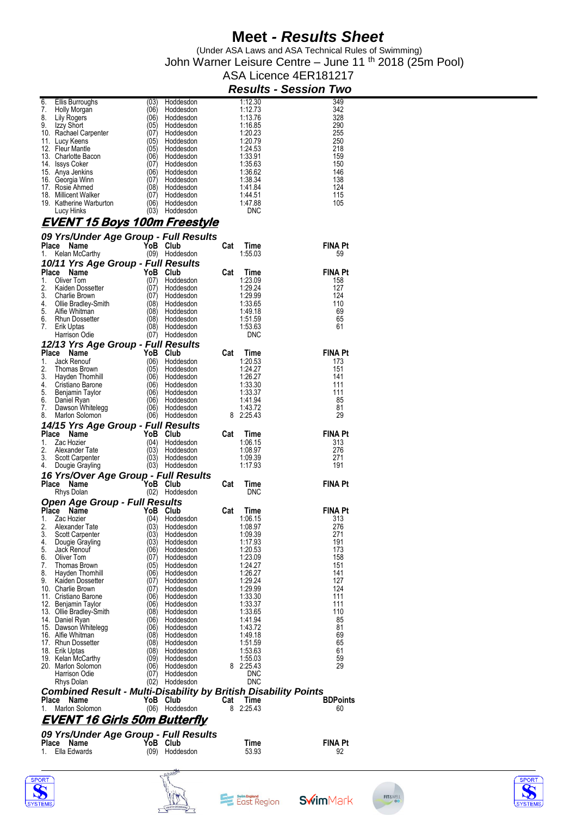(Under ASA Laws and ASA Technical Rules of Swimming) John Warner Leisure Centre – June 11 <sup>th</sup> 2018 (25m Pool)

#### ASA Licence 4ER181217 *Results - Session Two*

| 6.    | Ellis Burroughs                                                        | (03)         | Hoddesdon              |     | 1:12.30            | 349             |
|-------|------------------------------------------------------------------------|--------------|------------------------|-----|--------------------|-----------------|
| 7.    | Holly Morgan                                                           | (06)         | Hoddesdon              |     | 1:12.73            | 342             |
| 8.    | Lily Rogers                                                            | (06)         | Hoddesdon              |     | 1:13.76            | 328             |
| 9.    | Izzy Short                                                             | (05)         | Hoddesdon              |     | 1:16.85            | 290             |
|       | 10. Rachael Carpenter                                                  | (07)         | Hoddesdon              |     | 1:20.23            | 255             |
|       | 11. Lucy Keens                                                         | (05)         | Hoddesdon              |     | 1:20.79            | 250             |
|       | 12. Fleur Mantle                                                       | (05)         | Hoddesdon              |     | 1:24.53            | 218             |
|       | 13. Charlotte Bacon                                                    | (06)         | Hoddesdon              |     | 1:33.91            | 159             |
|       | 14. Issys Coker                                                        | (07)         | Hoddesdon              |     | 1:35.63            | 150             |
|       | 15. Anya Jenkins                                                       | (06)         | Hoddesdon              |     | 1:36.62            | 146             |
|       | 16. Georgia Winn                                                       | (07)         | Hoddesdon              |     | 1:38.34            | 138             |
|       | 17. Rosie Ahmed                                                        | (08)         | Hoddesdon              |     | 1:41.84            | 124             |
|       | 18. Millicent Walker                                                   | (07)         | Hoddesdon              |     | 1:44.51            | 115             |
|       | 19. Katherine Warburton                                                | (06)         | Hoddesdon              |     | 1:47.88            | 105             |
|       | Lucy Hinks                                                             |              | (03) Hoddesdon         |     | <b>DNC</b>         |                 |
|       | <u>EVENT 15 Boys 100m Freestyle</u>                                    |              |                        |     |                    |                 |
|       |                                                                        |              |                        |     |                    |                 |
|       | 09 Yrs/Under Age Group - Full Results                                  |              |                        |     |                    |                 |
|       | Place Name                                                             | YoB Club     |                        | Cat | Time               | <b>FINA Pt</b>  |
| 1.    | Kelan McCarthy                                                         |              | (09) Hoddesdon         |     | 1:55.03            | 59              |
|       | 10/11 Yrs Age Group - Full Results                                     |              |                        |     |                    |                 |
| Place | Name                                                                   | YoB          | Club                   | Cat | <b>Time</b>        | <b>FINA Pt</b>  |
| 1.    | Oliver Tom                                                             | (07)         | Hoddesdon              |     | 1:23.09            | 158             |
| 2.    | Kaiden Dossetter                                                       | (07)         | Hoddesdon              |     | 1:29.24            | 127             |
| 3.    | Charlie Brown                                                          | (07)         | Hoddesdon              |     | 1:29.99            | 124             |
| 4.    | Ollie Bradley-Smith                                                    | (08)         | Hoddesdon              |     | 1:33.65            | 110             |
| 5.    | Alfie Whitman                                                          | (08)         | Hoddesdon              |     | 1:49.18            | 69              |
| 6.    | <b>Rhun Dossetter</b>                                                  | (08)         | Hoddesdon              |     | 1:51.59            | 65              |
| 7.    | Erik Uptas                                                             |              | (08) Hoddesdon         |     | 1:53.63            | 61              |
|       | Harrison Odie                                                          |              | (07) Hoddesdon         |     | <b>DNC</b>         |                 |
|       | 12/13 Yrs Age Group - Full Results                                     |              |                        |     |                    |                 |
| Place | Name                                                                   | YoB          | Club                   | Cat | Time               | <b>FINA Pt</b>  |
| 1.    | Jack Renouf                                                            | (06)         | Hoddesdon              |     | 1:20.53            | 173             |
| 2.    |                                                                        | (05)         | Hoddesdon              |     | 1:24.27            | 151             |
| 3.    | Thomas Brown                                                           | (06)         | Hoddesdon              |     | 1:26.27            | 141             |
| 4.    | Hayden Thomhill<br>Cristiano Barone                                    | (06)         | Hoddesdon              |     | 1:33.30            | 111             |
| 5.    | Benjamin Taylor                                                        | (06)         | Hoddesdon              |     | 1:33.37            | 111             |
| 6.    |                                                                        | (06)         | Hoddesdon              |     | 1:41.94            | 85              |
| 7.    | Daniel Ryan<br>Dawson Whitelegg                                        | (06)         | Hoddesdon              |     | 1:43.72            | 81              |
| 8.    | Marlon Solomon                                                         |              | (06) Hoddesdon         |     | 8 2:25.43          | 29              |
|       |                                                                        |              |                        |     |                    |                 |
|       |                                                                        |              |                        |     |                    |                 |
|       | 14/15 Yrs Age Group - Full Results                                     |              |                        |     |                    |                 |
| Place | Name                                                                   | YoB          | Club                   | Cat | Time               | <b>FINA Pt</b>  |
| 1.    | Zac Hozier                                                             | (04)         | Hoddesdon              |     | 1:06.15            | 313             |
| 2.    | Alexander Tate                                                         | (03)         | Hoddesdon              |     | 1:08.97            | 276             |
| 3.    | Scott Carpenter                                                        | (03)         | Hoddesdon              |     | 1:09.39            | 271             |
| 4.    | Dougie Grayling                                                        |              | (03) Hoddesdon         |     | 1:17.93            | 191             |
|       |                                                                        |              |                        |     |                    |                 |
|       | 16 Yrs/Over Age Group - Full Results<br>Place Name                     | YoB Club     |                        | Cat | Time               | <b>FINA Pt</b>  |
|       |                                                                        |              |                        |     | DNC                |                 |
|       | Rhys Dolan                                                             |              | (02) Hoddesdon         |     |                    |                 |
|       | Open Age Group - Full Results                                          |              |                        |     |                    |                 |
|       | Place Name                                                             | YoB          | Club                   | Cat | Time               | <b>FINA Pt</b>  |
| 1.    | Zac Hozier                                                             | (04)         | Hoddesdon              |     | 1:06.15            | 313             |
| 2.    | Alexander Tate                                                         | (03)         | Hoddesdon              |     | 1:08.97            | 276             |
| 3.    | Scott Carpenter                                                        | (03)         | Hoddesdon              |     | 1:09.39            | 271             |
| 4.    | Dougie Grayling                                                        | (03)         | Hoddesdon              |     | 1:17.93            | 191             |
| 5.    | Jack Renouf                                                            | (06)         | Hoddesdon              |     | 1:20.53            | 173             |
| 6.    | Oliver Tom                                                             | (07)         | Hoddesdon              |     | 1:23.09            | 158             |
| 7.    | Thomas Brown                                                           | (05)         | Hoddesdon              |     | 1:24.27            | 151             |
| 8.    | Hayden Thomhill                                                        | (06)         | Hoddesdon              |     | 1:26.27            | 141             |
| 9.    | Kaiden Dossetter                                                       | (07)         | Hoddesdon              |     | 1:29.24            | 127             |
|       | 10. Charlie Brown                                                      | (07)         | Hoddesdon              |     | 1:29.99            | 124             |
|       | 11. Cristiano Barone                                                   | (06)         | Hoddesdon              |     | 1:33.30            | 111             |
|       | 12. Benjamin Taylor                                                    | (06)         | Hoddesdon              |     | 1:33.37            | 111             |
|       | 13. Ollie Bradley-Smith                                                | (08)         | Hoddesdon              |     | 1:33.65            | 110             |
|       | 14. Daniel Ryan                                                        | (06)<br>(06) | Hoddesdon<br>Hoddesdon |     | 1:41.94<br>1:43.72 | 85<br>81        |
|       | 15. Dawson Whitelegg<br>16. Alfie Whitman                              | (08)         | Hoddesdon              |     | 1:49.18            | 69              |
|       | 17. Rhun Dossetter                                                     | (08)         | Hoddesdon              |     | 1:51.59            | 65              |
|       | 18. Erik Uptas                                                         | (08)         | Hoddesdon              |     | 1:53.63            | 61              |
|       | 19. Kelan McCarthy                                                     | (09)         | Hoddesdon              |     | 1:55.03            | 59              |
|       | 20. Marlon Solomon                                                     | (06)         | Hoddesdon              |     | 8 2:25.43          | 29              |
|       | Harrison Odie                                                          | (07)         | Hoddesdon              |     | DNC                |                 |
|       | Rhys Dolan                                                             | (02)         | Hoddesdon              |     | <b>DNC</b>         |                 |
|       |                                                                        |              |                        |     |                    |                 |
|       | <b>Combined Result - Multi-Disability by British Disability Points</b> |              |                        |     |                    |                 |
|       | Place Name                                                             | YoB          | Club                   | Cat | Time               | <b>BDPoints</b> |
| 1.    | Marlon Solomon                                                         |              | (06) Hoddesdon         | 8   | 2:25.43            | 60              |
|       | <u>EVENT 16 Girls 50m Butterfly</u>                                    |              |                        |     |                    |                 |
|       |                                                                        |              |                        |     |                    |                 |
|       | 09 Yrs/Under Age Group - Full Results                                  |              |                        |     |                    |                 |
| Place | Name                                                                   | YoB          | Club                   |     | Time               | <b>FINA Pt</b>  |
| 1.    | Ella Edwards                                                           | (09)         | Hoddesdon              |     | 53.93              | 92              |